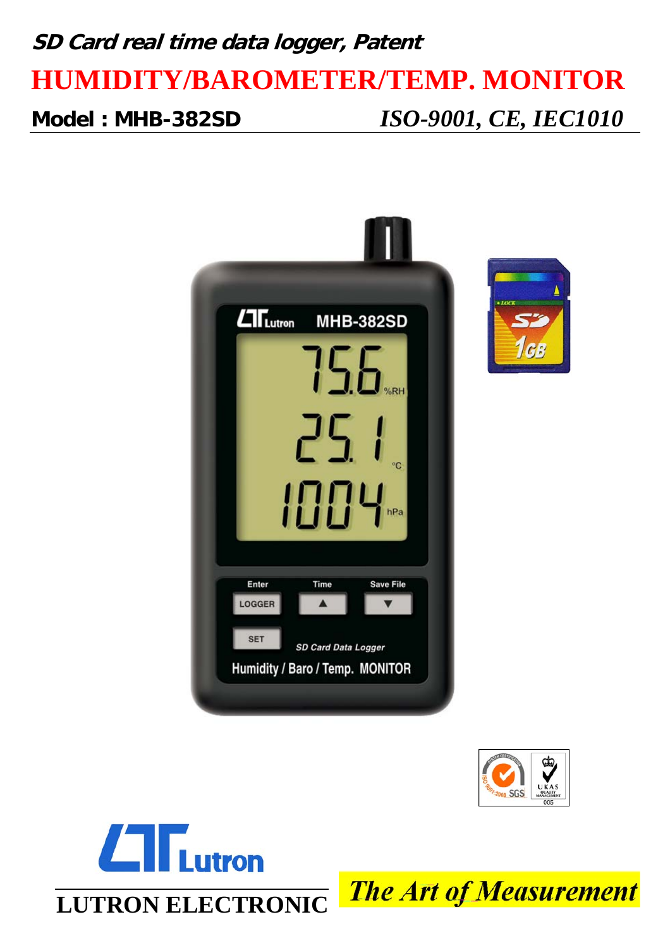# **SD Card real time data logger, Patent HUMIDITY/BAROMETER/TEMP. MONITOR Model : MHB-382SD** *ISO-9001, CE, IEC1010*







**The Art of Measurement**